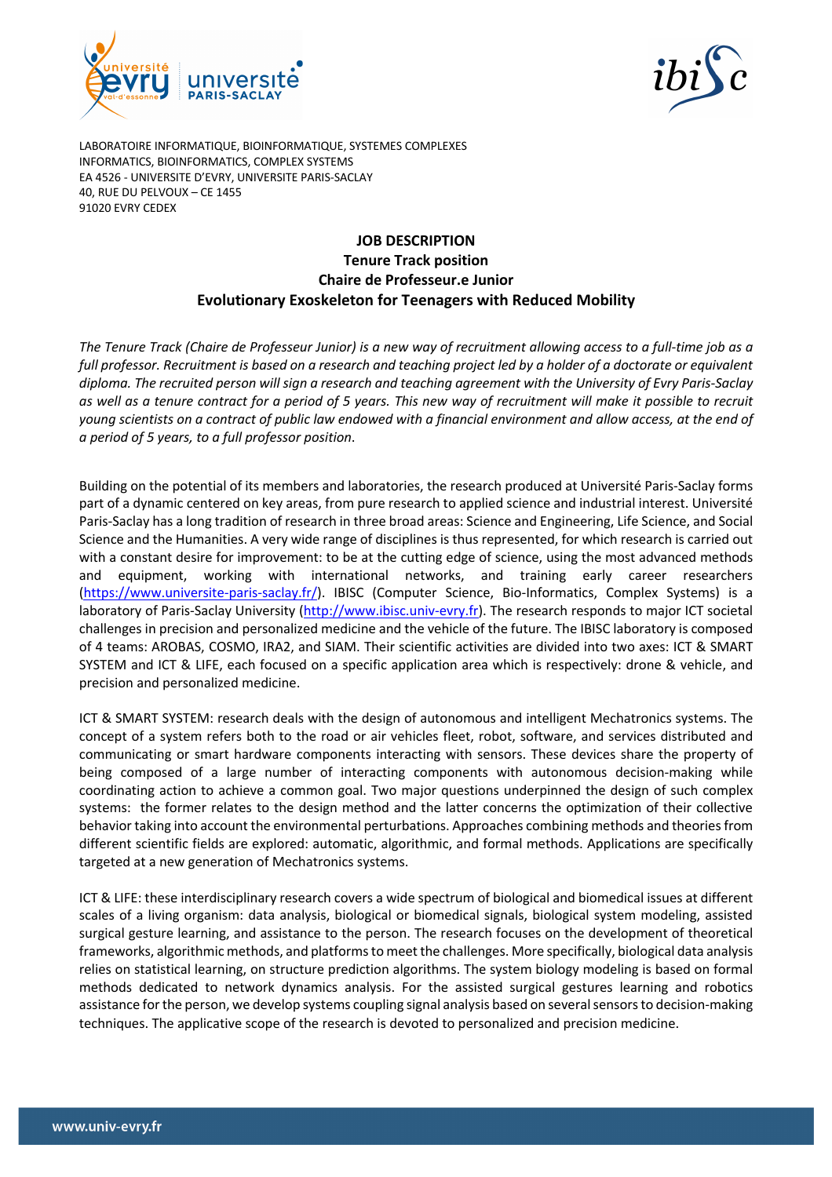



LABORATOIRE INFORMATIQUE, BIOINFORMATIQUE, SYSTEMES COMPLEXES INFORMATICS, BIOINFORMATICS, COMPLEX SYSTEMS EA 4526 - UNIVERSITE D'EVRY, UNIVERSITE PARIS-SACLAY 40, RUE DU PELVOUX – CE 1455 91020 EVRY CEDEX

# **JOB DESCRIPTION Tenure Track position Chaire de Professeur.e Junior Evolutionary Exoskeleton for Teenagers with Reduced Mobility**

*The Tenure Track (Chaire de Professeur Junior) is a new way of recruitment allowing access to a full-time job as a full professor. Recruitment is based on a research and teaching project led by a holder of a doctorate or equivalent diploma. The recruited person will sign a research and teaching agreement with the University of Evry Paris-Saclay as well as a tenure contract for a period of 5 years. This new way of recruitment will make it possible to recruit young scientists on a contract of public law endowed with a financial environment and allow access, at the end of a period of 5 years, to a full professor position*.

Building on the potential of its members and laboratories, the research produced at Université Paris-Saclay forms part of a dynamic centered on key areas, from pure research to applied science and industrial interest. Université Paris-Saclay has a long tradition of research in three broad areas: Science and Engineering, Life Science, and Social Science and the Humanities. A very wide range of disciplines is thus represented, for which research is carried out with a constant desire for improvement: to be at the cutting edge of science, using the most advanced methods and equipment, working with international networks, and training early career researchers (https://www.universite-paris-saclay.fr/). IBISC (Computer Science, Bio-Informatics, Complex Systems) is a laboratory of Paris-Saclay University (http://www.ibisc.univ-evry.fr). The research responds to major ICT societal challenges in precision and personalized medicine and the vehicle of the future. The IBISC laboratory is composed of 4 teams: AROBAS, COSMO, IRA2, and SIAM. Their scientific activities are divided into two axes: ICT & SMART SYSTEM and ICT & LIFE, each focused on a specific application area which is respectively: drone & vehicle, and precision and personalized medicine.

ICT & SMART SYSTEM: research deals with the design of autonomous and intelligent Mechatronics systems. The concept of a system refers both to the road or air vehicles fleet, robot, software, and services distributed and communicating or smart hardware components interacting with sensors. These devices share the property of being composed of a large number of interacting components with autonomous decision-making while coordinating action to achieve a common goal. Two major questions underpinned the design of such complex systems: the former relates to the design method and the latter concerns the optimization of their collective behavior taking into account the environmental perturbations. Approaches combining methods and theories from different scientific fields are explored: automatic, algorithmic, and formal methods. Applications are specifically targeted at a new generation of Mechatronics systems.

ICT & LIFE: these interdisciplinary research covers a wide spectrum of biological and biomedical issues at different scales of a living organism: data analysis, biological or biomedical signals, biological system modeling, assisted surgical gesture learning, and assistance to the person. The research focuses on the development of theoretical frameworks, algorithmic methods, and platforms to meet the challenges. More specifically, biological data analysis relies on statistical learning, on structure prediction algorithms. The system biology modeling is based on formal methods dedicated to network dynamics analysis. For the assisted surgical gestures learning and robotics assistance for the person, we develop systems coupling signal analysis based on several sensors to decision-making techniques. The applicative scope of the research is devoted to personalized and precision medicine.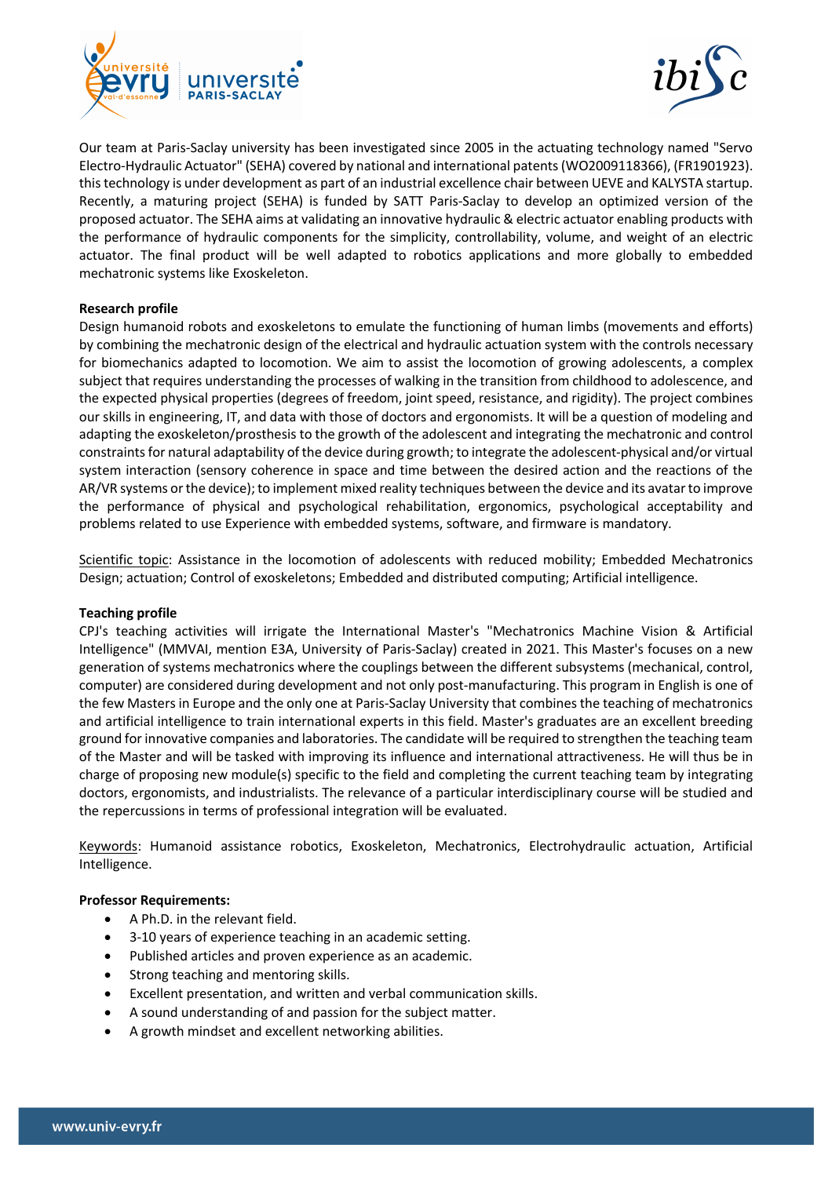



Our team at Paris-Saclay university has been investigated since 2005 in the actuating technology named "Servo Electro-Hydraulic Actuator" (SEHA) covered by national and international patents (WO2009118366), (FR1901923). this technology is under development as part of an industrial excellence chair between UEVE and KALYSTA startup. Recently, a maturing project (SEHA) is funded by SATT Paris-Saclay to develop an optimized version of the proposed actuator. The SEHA aims at validating an innovative hydraulic & electric actuator enabling products with the performance of hydraulic components for the simplicity, controllability, volume, and weight of an electric actuator. The final product will be well adapted to robotics applications and more globally to embedded mechatronic systems like Exoskeleton.

# **Research profile**

Design humanoid robots and exoskeletons to emulate the functioning of human limbs (movements and efforts) by combining the mechatronic design of the electrical and hydraulic actuation system with the controls necessary for biomechanics adapted to locomotion. We aim to assist the locomotion of growing adolescents, a complex subject that requires understanding the processes of walking in the transition from childhood to adolescence, and the expected physical properties (degrees of freedom, joint speed, resistance, and rigidity). The project combines our skills in engineering, IT, and data with those of doctors and ergonomists. It will be a question of modeling and adapting the exoskeleton/prosthesis to the growth of the adolescent and integrating the mechatronic and control constraints for natural adaptability of the device during growth; to integrate the adolescent-physical and/or virtual system interaction (sensory coherence in space and time between the desired action and the reactions of the AR/VR systems or the device); to implement mixed reality techniques between the device and its avatar to improve the performance of physical and psychological rehabilitation, ergonomics, psychological acceptability and problems related to use Experience with embedded systems, software, and firmware is mandatory.

Scientific topic: Assistance in the locomotion of adolescents with reduced mobility; Embedded Mechatronics Design; actuation; Control of exoskeletons; Embedded and distributed computing; Artificial intelligence.

#### **Teaching profile**

CPJ's teaching activities will irrigate the International Master's "Mechatronics Machine Vision & Artificial Intelligence" (MMVAI, mention E3A, University of Paris-Saclay) created in 2021. This Master's focuses on a new generation of systems mechatronics where the couplings between the different subsystems (mechanical, control, computer) are considered during development and not only post-manufacturing. This program in English is one of the few Masters in Europe and the only one at Paris-Saclay University that combines the teaching of mechatronics and artificial intelligence to train international experts in this field. Master's graduates are an excellent breeding ground for innovative companies and laboratories. The candidate will be required to strengthen the teaching team of the Master and will be tasked with improving its influence and international attractiveness. He will thus be in charge of proposing new module(s) specific to the field and completing the current teaching team by integrating doctors, ergonomists, and industrialists. The relevance of a particular interdisciplinary course will be studied and the repercussions in terms of professional integration will be evaluated.

Keywords: Humanoid assistance robotics, Exoskeleton, Mechatronics, Electrohydraulic actuation, Artificial Intelligence.

#### **Professor Requirements:**

- A Ph.D. in the relevant field.
- 3-10 years of experience teaching in an academic setting.
- Published articles and proven experience as an academic.
- Strong teaching and mentoring skills.
- Excellent presentation, and written and verbal communication skills.
- A sound understanding of and passion for the subject matter.
- A growth mindset and excellent networking abilities.